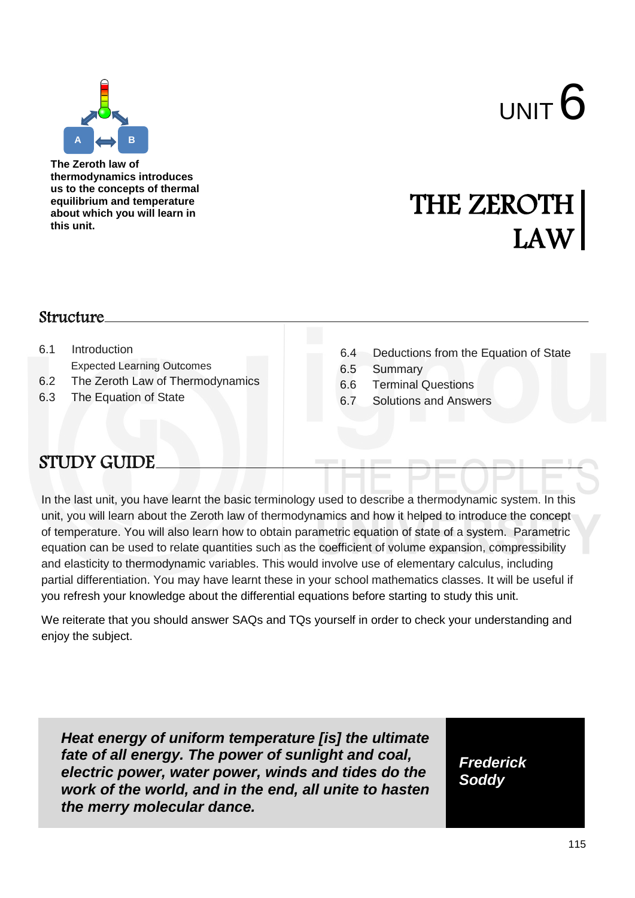

**The Zeroth law of thermodynamics introduces us to the concepts of thermal equilibrium and temperature about which you will learn in this unit.**

# THE ZEROTH LAW

#### Structure

- 6.1 Introduction Expected Learning Outcomes
- 6.2 The Zeroth Law of Thermodynamics
- 6.3 The Equation of State
- 6.4 Deductions from the Equation of State
- 6.5 Summary
- 6.6 Terminal Questions
- 6.7 Solutions and Answers

# STUDY GUIDE

In the last unit, you have learnt the basic terminology used to describe a thermodynamic system. In this unit, you will learn about the Zeroth law of thermodynamics and how it helped to introduce the concept of temperature. You will also learn how to obtain parametric equation of state of a system. Parametric equation can be used to relate quantities such as the coefficient of volume expansion, compressibility and elasticity to thermodynamic variables. This would involve use of elementary calculus, including partial differentiation. You may have learnt these in your school mathematics classes. It will be useful if you refresh your knowledge about the differential equations before starting to study this unit.

We reiterate that you should answer SAQs and TQs yourself in order to check your understanding and enjoy the subject.

*Heat energy of uniform temperature [is] the ultimate fate of all energy. The power of sunlight and coal, electric power, water power, winds and tides do the work of the world, and in the end, all unite to hasten the merry molecular dance.*

*Frederick Soddy*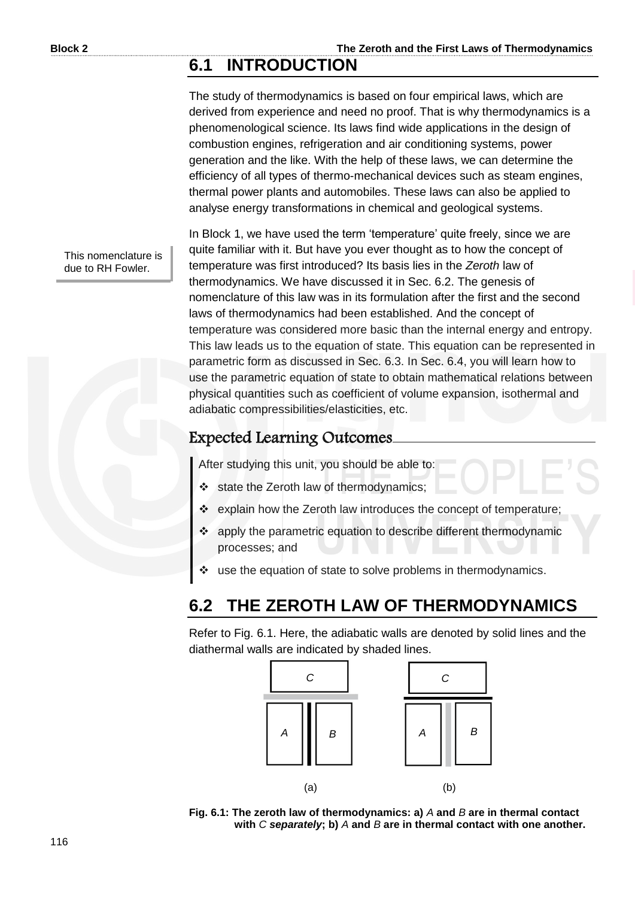### **6.1 INTRODUCTION**

The study of thermodynamics is based on four empirical laws, which are derived from experience and need no proof. That is why thermodynamics is a phenomenological science. Its laws find wide applications in the design of combustion engines, refrigeration and air conditioning systems, power generation and the like. With the help of these laws, we can determine the efficiency of all types of thermo-mechanical devices such as steam engines, thermal power plants and automobiles. These laws can also be applied to analyse energy transformations in chemical and geological systems.

This nomenclature is due to RH Fowler.

In Block 1, we have used the term 'temperature' quite freely, since we are quite familiar with it. But have you ever thought as to how the concept of temperature was first introduced? Its basis lies in the *Zeroth* law of thermodynamics. We have discussed it in Sec. 6.2. The genesis of nomenclature of this law was in its formulation after the first and the second laws of thermodynamics had been established. And the concept of temperature was considered more basic than the internal energy and entropy. This law leads us to the equation of state. This equation can be represented in parametric form as discussed in Sec. 6.3. In Sec. 6.4, you will learn how to use the parametric equation of state to obtain mathematical relations between physical quantities such as coefficient of volume expansion, isothermal and adiabatic compressibilities/elasticities, etc.

#### Expected Learning Outcomes

After studying this unit, you should be able to:

- State the Zeroth law of thermodynamics;
- \* explain how the Zeroth law introduces the concept of temperature;
- apply the parametric equation to describe different thermodynamic processes; and
- use the equation of state to solve problems in thermodynamics.

# **6.2 THE ZEROTH LAW OF THERMODYNAMICS**

Refer to Fig. 6.1. Here, the adiabatic walls are denoted by solid lines and the diathermal walls are indicated by shaded lines.



**Fig. 6.1: The zeroth law of thermodynamics: a)** *A* **and** *B* **are in thermal contact with** *C separately***; b)** *A* **and** *B* **are in thermal contact with one another.**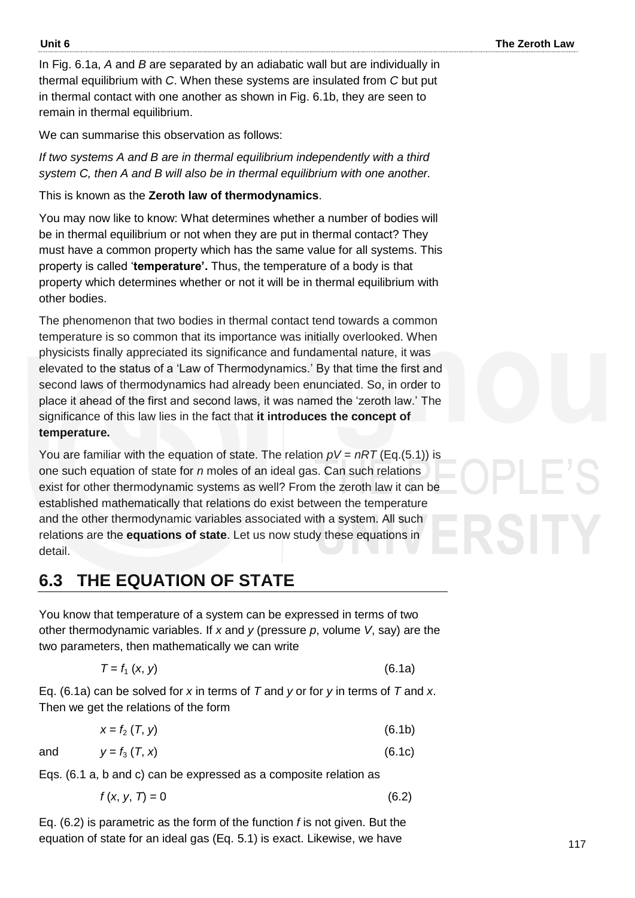In Fig. 6.1a, *A* and *B* are separated by an adiabatic wall but are individually in thermal equilibrium with *C*. When these systems are insulated from *C* but put in thermal contact with one another as shown in Fig. 6.1b, they are seen to remain in thermal equilibrium.

We can summarise this observation as follows:

*If two systems A and B are in thermal equilibrium independently with a third system C, then A and B will also be in thermal equilibrium with one another.* 

This is known as the **Zeroth law of thermodynamics**.

You may now like to know: What determines whether a number of bodies will be in thermal equilibrium or not when they are put in thermal contact? They must have a common property which has the same value for all systems. This property is called '**temperature'.** Thus, the temperature of a body is that property which determines whether or not it will be in thermal equilibrium with other bodies.

The phenomenon that two bodies in thermal contact tend towards a common temperature is so common that its importance was initially overlooked. When physicists finally appreciated its significance and fundamental nature, it was elevated to the status of a 'Law of Thermodynamics.' By that time the first and second laws of thermodynamics had already been enunciated. So, in order to place it ahead of the first and second laws, it was named the 'zeroth law.' The significance of this law lies in the fact that **it introduces the concept of temperature.** 

You are familiar with the equation of state. The relation  $pV = nRT$  (Eq.(5.1)) is one such equation of state for *n* moles of an ideal gas. Can such relations exist for other thermodynamic systems as well? From the zeroth law it can be established mathematically that relations do exist between the temperature and the other thermodynamic variables associated with a system. All such relations are the **equations of state**. Let us now study these equations in detail.

# **6.3 THE EQUATION OF STATE**

You know that temperature of a system can be expressed in terms of two other thermodynamic variables. If *x* and *y* (pressure *p*, volume *V*, say) are the two parameters, then mathematically we can write

$$
T = f_1 \left( x, y \right) \tag{6.1a}
$$

Eq. (6.1a) can be solved for *x* in terms of *T* and *y* or for *y* in terms of *T* and *x*. Then we get the relations of the form

$$
x = f_2(T, y) \tag{6.1b}
$$

and 
$$
y = f_3(T, x)
$$
 (6.1c)

Eqs. (6.1 a, b and c) can be expressed as a composite relation as

$$
f(x, y, 7) = 0 \tag{6.2}
$$

Eq. (6.2) is parametric as the form of the function *f* is not given. But the equation of state for an ideal gas (Eq. 5.1) is exact. Likewise, we have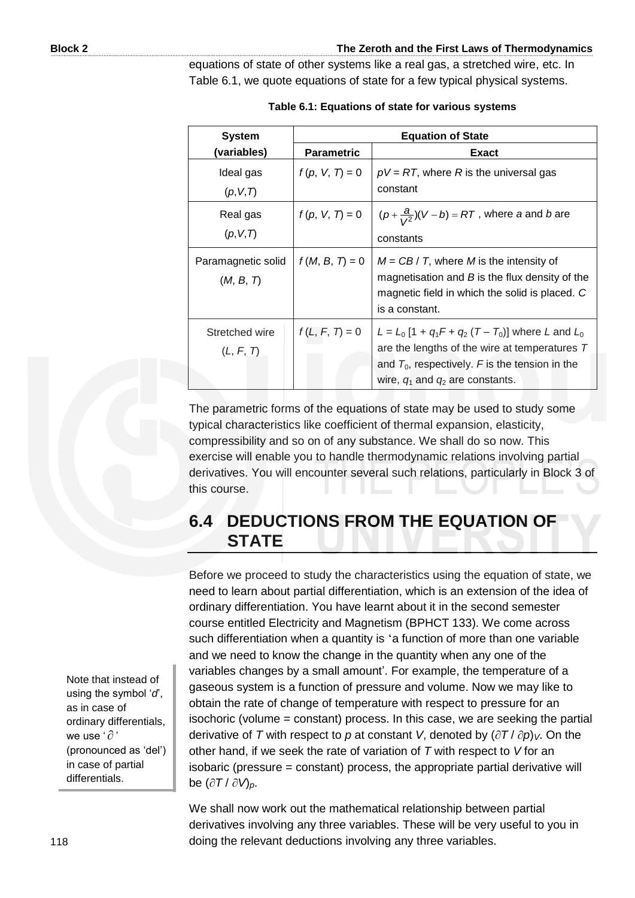equations of state of other systems like a real gas, a stretched wire, etc. In Table 6.1, we quote equations of state for a few typical physical systems.

| <b>System</b>                   | <b>Equation of State</b> |                                                                                                                                                                                                       |
|---------------------------------|--------------------------|-------------------------------------------------------------------------------------------------------------------------------------------------------------------------------------------------------|
| (variables)                     | <b>Parametric</b>        | Exact                                                                                                                                                                                                 |
| Ideal gas<br>(p, V, T)          | $f(p, V, T) = 0$         | $pV = RT$ , where R is the universal gas<br>constant                                                                                                                                                  |
| Real gas<br>(p, V, T)           | $f(p, V, T) = 0$         | $(p+\frac{a}{\sqrt{2}})(V-b) = RT$ , where a and b are<br>constants                                                                                                                                   |
| Paramagnetic solid<br>(M, B, T) | $f(M, B, T) = 0$         | $M = CB / T$ , where M is the intensity of<br>magnetisation and $B$ is the flux density of the<br>magnetic field in which the solid is placed. C<br>is a constant.                                    |
| Stretched wire<br>(L, F, T)     | $f(L, F, T) = 0$         | $L = L_0 [1 + q_1 F + q_2 (T - T_0)]$ where L and $L_0$<br>are the lengths of the wire at temperatures T<br>and $T_0$ , respectively. F is the tension in the<br>wire, $q_1$ and $q_2$ are constants. |

**Table 6.1: Equations of state for various systems** 

The parametric forms of the equations of state may be used to study some typical characteristics like coefficient of thermal expansion, elasticity, compressibility and so on of any substance. We shall do so now. This exercise will enable you to handle thermodynamic relations involving partial derivatives. You will encounter several such relations, particularly in Block 3 of this course.

### **6.4 DEDUCTIONS FROM THE EQUATION OF STATE**

Before we proceed to study the characteristics using the equation of state, we need to learn about partial differentiation, which is an extension of the idea of ordinary differentiation. You have learnt about it in the second semester course entitled Electricity and Magnetism (BPHCT 133). We come across such differentiation when a quantity is 'a function of more than one variable and we need to know the change in the quantity when any one of the variables changes by a small amount'. For example, the temperature of a gaseous system is a function of pressure and volume. Now we may like to obtain the rate of change of temperature with respect to pressure for an isochoric (volume = constant) process. In this case, we are seeking the partial derivative of *T* with respect to *p* at constant *V*, denoted by  $(\partial T / \partial p)_V$ . On the other hand, if we seek the rate of variation of *T* with respect to *V* for an isobaric (pressure = constant) process, the appropriate partial derivative will be  $(\partial T / \partial V)_{p}$ .

We shall now work out the mathematical relationship between partial derivatives involving any three variables. These will be very useful to you in doing the relevant deductions involving any three variables.

Note that instead of using the symbol '*d*', as in case of ordinary differentials, we use '  $\partial$  ' (pronounced as 'del') in case of partial differentials.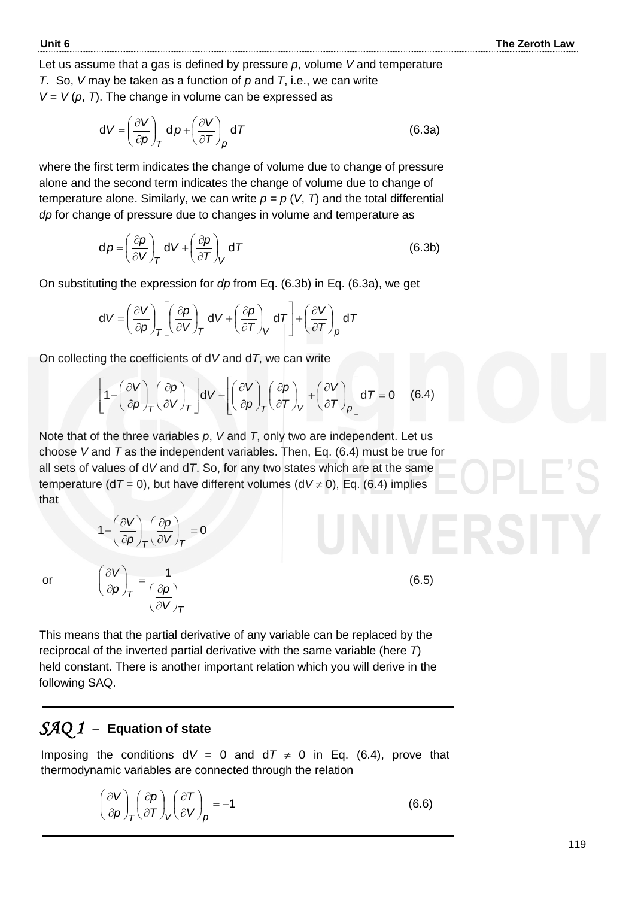Let us assume that a gas is defined by pressure *p*, volume *V* and temperature *T*. So, *V* may be taken as a function of *p* and *T*, i.e., we can write  $V = V(p, 7)$ . The change in volume can be expressed as

$$
dV = \left(\frac{\partial V}{\partial p}\right)_T d p + \left(\frac{\partial V}{\partial T}\right)_p d T \tag{6.3a}
$$

where the first term indicates the change of volume due to change of pressure alone and the second term indicates the change of volume due to change of temperature alone. Similarly, we can write  $p = p$  (*V*, *T*) and the total differential *dp* for change of pressure due to changes in volume and temperature as

$$
d\rho = \left(\frac{\partial \rho}{\partial V}\right)_T dV + \left(\frac{\partial \rho}{\partial T}\right)_V dT
$$
 (6.3b)

On substituting the expression for *dp* from Eq. (6.3b) in Eq. (6.3a), we get

$$
dV = \left(\frac{\partial V}{\partial p}\right)_T \left[\left(\frac{\partial p}{\partial V}\right)_T dV + \left(\frac{\partial p}{\partial T}\right)_V dT\right] + \left(\frac{\partial V}{\partial T}\right)_p dT
$$

On collecting the coefficients of d*V* and d*T*, we can write

$$
\left[1 - \left(\frac{\partial V}{\partial p}\right)_T \left(\frac{\partial p}{\partial V}\right)_T\right] dV - \left[\left(\frac{\partial V}{\partial p}\right)_T \left(\frac{\partial p}{\partial T}\right)_V + \left(\frac{\partial V}{\partial T}\right)_p\right] dT = 0 \quad (6.4)
$$

Note that of the three variables *p*, *V* and *T*, only two are independent. Let us choose *V* and *T* as the independent variables. Then, Eq. (6.4) must be true for all sets of values of d*V* and d*T*. So, for any two states which are at the same temperature ( $dT = 0$ ), but have different volumes ( $dV \ne 0$ ), Eq. (6.4) implies that

$$
1 - \left(\frac{\partial V}{\partial p}\right)_T \left(\frac{\partial p}{\partial V}\right)_T = 0
$$

*T*

 $\overline{\phantom{a}}$ J  $\left(\frac{\partial p}{\partial y}\right)$  $\setminus$ ſ  $\partial$ 

*V*

or

*p p V*  $\int_{\tau} = \frac{1}{\sqrt{\partial}}$ J  $\mathcal{L}$  $\parallel$  $\setminus$ ſ  $\partial$  $\partial V$  1

*T*

(6.5)

This means that the partial derivative of any variable can be replaced by the reciprocal of the inverted partial derivative with the same variable (here *T*) held constant. There is another important relation which you will derive in the following SAQ.

#### *SAQ 1* –**Equation of state**

Imposing the conditions  $dV = 0$  and  $dT \neq 0$  in Eq. (6.4), prove that thermodynamic variables are connected through the relation

$$
\left(\frac{\partial V}{\partial p}\right)_T \left(\frac{\partial p}{\partial T}\right)_V \left(\frac{\partial T}{\partial V}\right)_p = -1\tag{6.6}
$$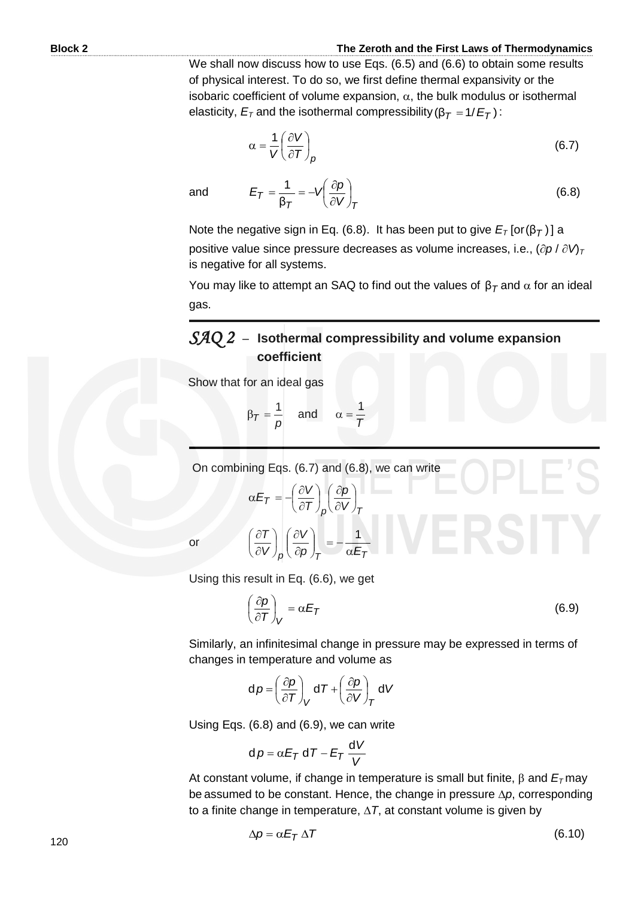$(6.8)$ 

We shall now discuss how to use Eqs. (6.5) and (6.6) to obtain some results of physical interest. To do so, we first define thermal expansivity or the isobaric coefficient of volume expansion,  $\alpha$ , the bulk modulus or isothermal elasticity,  $E_{\textit{T}}$  and the isothermal compressibility (β $_{\textit{T}}$  = 1/ $E_{\textit{T}}$  ) :

$$
\alpha = \frac{1}{V} \left( \frac{\partial V}{\partial T} \right)_p \tag{6.7}
$$

and

 $T$   $($   $UV$   $)/T$ Note the negative sign in Eq. (6.8). It has been put to give  $E_{\textit{T}}\left[ \text{or}(\boldsymbol{\beta}_{\textit{T}}) \right]$  a positive value since pressure decreases as volume increases, i.e.,  $(\partial p / \partial V)$ is negative for all systems.

 $\bigg)$  $\left(\frac{\partial p}{\partial y}\right)$  $\setminus$ ſ  $\hat{o}$ 

You may like to attempt an SAQ to find out the values of  $β_{{\cal T}}$  and  $α$  for an ideal gas.

#### *SAQ 2* –**Isothermal compressibility and volume expansion coefficient**

Show that for an ideal gas

$$
\beta_{\mathcal{T}} = \frac{1}{p} \quad \text{and} \quad \alpha = \frac{1}{\mathcal{T}}
$$

 $T = \frac{1}{\beta_T} = -v \left( \frac{\partial v}{\partial v} \right)$  $E_T = \frac{1}{2} = -V \left( \frac{\partial \rho}{\partial V} \right)$ 

β 1

 $=\frac{1}{2}=-\sqrt{\frac{\partial}{\partial}}$ 

On combining Eqs. (6.7) and (6.8), we can write

$$
\alpha E_T = -\left(\frac{\partial V}{\partial T}\right)_p \left(\frac{\partial p}{\partial V}\right)_T
$$

$$
\left(\frac{\partial T}{\partial V}\right)_n \left(\frac{\partial V}{\partial p}\right)_T = -\frac{1}{\alpha E_T}
$$

J

 $p \left( \frac{\partial p}{\partial T} \right)_T$   $\alpha E_T$ 

or

Using this result in Eq. (6.6), we get

 $\overline{\mathcal{L}}$ 

 $\partial$ 

*V*

 $\widehat{o}$ 

 $\setminus$ 

I J ſ  $\bigg)$ 

$$
\frac{\partial \rho}{\partial T}\bigg|_{V} = \alpha E_T \tag{6.9}
$$

Similarly, an infinitesimal change in pressure may be expressed in terms of changes in temperature and volume as

$$
d\rho = \left(\frac{\partial \rho}{\partial T}\right)_V dT + \left(\frac{\partial \rho}{\partial V}\right)_T dV
$$

Using Eqs. (6.8) and (6.9), we can write

$$
d\rho = \alpha E_T dT - E_T \frac{dV}{V}
$$

At constant volume, if change in temperature is small but finite,  $\beta$  and  $E<sub>\tau</sub>$  may be assumed to be constant. Hence, the change in pressure  $\Delta p$ , corresponding to a finite change in temperature,  $\Delta T$ , at constant volume is given by

$$
\Delta p = \alpha E_T \Delta T \tag{6.10}
$$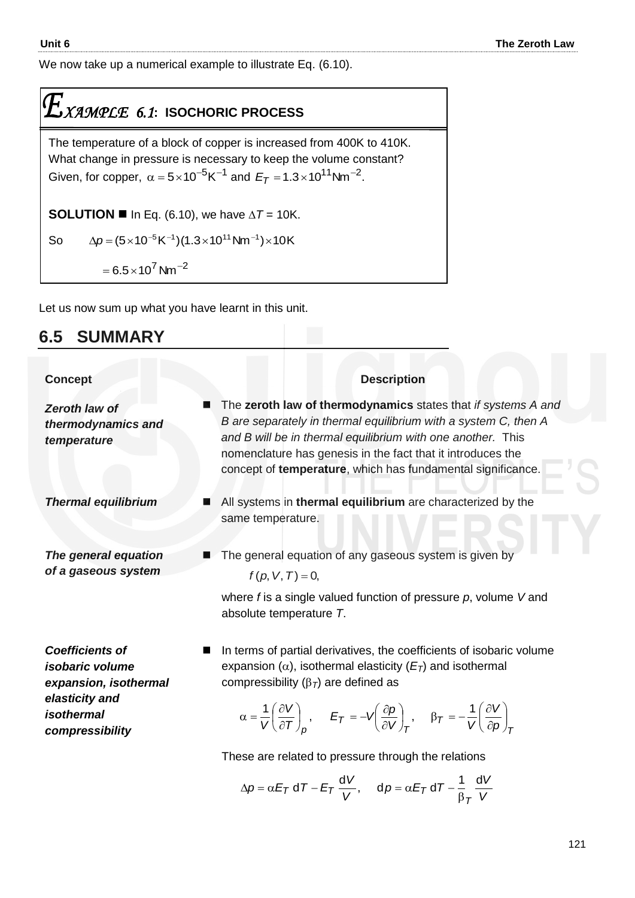We now take up a numerical example to illustrate Eq. (6.10).

# $\mathcal{I}_{\textit{XAMPLE}}$  6.1: ISOCHORIC PROCESS

The temperature of a block of copper is increased from 400K to 410K. What change in pressure is necessary to keep the volume constant? Given, for copper,  $\alpha = 5 \times 10^{-5}$ K<sup>-1</sup> and  $E_T = 1.3 \times 10^{11}$ Nm<sup>-2</sup>.

**SOLUTION II** In Eq. (6.10), we have  $\Delta T = 10$ K.

So  $\Delta p$  = (5  $\times$  10  $^{-5}$  K  $^{-1}$ )(1.3  $\times$  10  $^{11}$  Nm  $^{-1}$ )  $\times$  10 K

 $= 6.5 \times 10^7$  Nm<sup>-2</sup>

Let us now sum up what you have learnt in this unit.

#### **6.5 SUMMARY**

| <b>Concept</b>                                                                                                                      | <b>Description</b>                                                                                                                                                                                                                                                                                                                                                                                                                                                                                                                                                                         |  |  |
|-------------------------------------------------------------------------------------------------------------------------------------|--------------------------------------------------------------------------------------------------------------------------------------------------------------------------------------------------------------------------------------------------------------------------------------------------------------------------------------------------------------------------------------------------------------------------------------------------------------------------------------------------------------------------------------------------------------------------------------------|--|--|
| Zeroth law of<br>thermodynamics and<br>temperature                                                                                  | The zeroth law of thermodynamics states that if systems A and<br>B are separately in thermal equilibrium with a system C, then A<br>and B will be in thermal equilibrium with one another. This<br>nomenclature has genesis in the fact that it introduces the<br>concept of temperature, which has fundamental significance.                                                                                                                                                                                                                                                              |  |  |
| <b>Thermal equilibrium</b>                                                                                                          | All systems in thermal equilibrium are characterized by the<br>same temperature.                                                                                                                                                                                                                                                                                                                                                                                                                                                                                                           |  |  |
| The general equation<br>of a gaseous system                                                                                         | The general equation of any gaseous system is given by<br>$f(p, V, T) = 0$ ,<br>where $f$ is a single valued function of pressure $p$ , volume $V$ and<br>absolute temperature T.                                                                                                                                                                                                                                                                                                                                                                                                          |  |  |
| <b>Coefficients of</b><br><i>isobaric</i> volume<br>expansion, isothermal<br>elasticity and<br><i>isothermal</i><br>compressibility | In terms of partial derivatives, the coefficients of isobaric volume<br>expansion ( $\alpha$ ), isothermal elasticity ( $E_T$ ) and isothermal<br>compressibility $(\beta_7)$ are defined as<br>$\alpha = \frac{1}{V} \left( \frac{\partial V}{\partial T} \right)_{T}$ , $E_T = -V \left( \frac{\partial \rho}{\partial V} \right)_{T}$ , $\beta_T = -\frac{1}{V} \left( \frac{\partial V}{\partial \rho} \right)_{T}$<br>These are related to pressure through the relations<br>$\Delta p = \alpha E_T dT - E_T \frac{dV}{V}, \quad dp = \alpha E_T dT - \frac{1}{\beta_T} \frac{dV}{V}$ |  |  |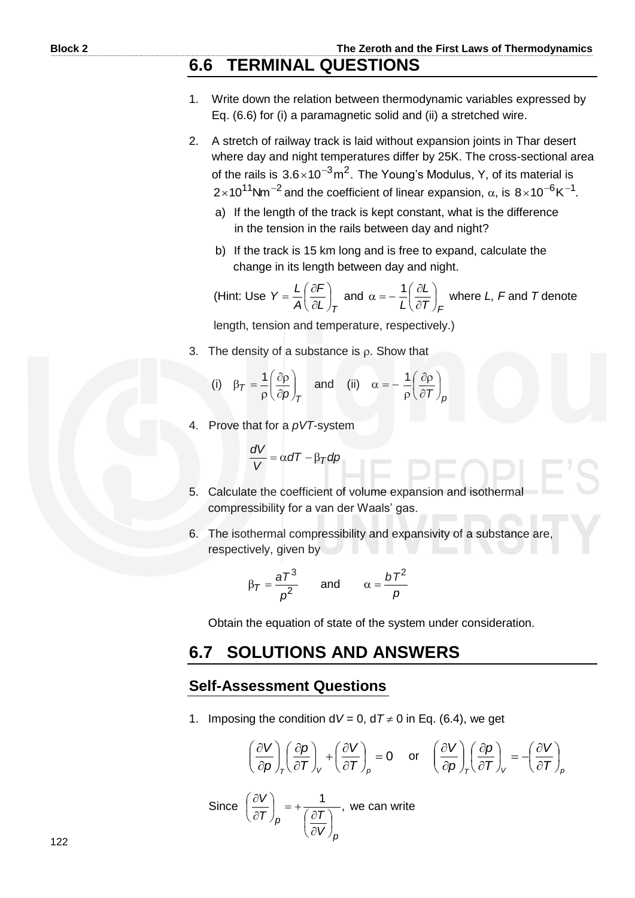- 1. Write down the relation between thermodynamic variables expressed by Eq. (6.6) for (i) a paramagnetic solid and (ii) a stretched wire.
- 2. A stretch of railway track is laid without expansion joints in Thar desert where day and night temperatures differ by 25K. The cross-sectional area of the rails is  $3.6 \times 10^{-3}$ m<sup>2</sup>. The Young's Modulus, Y, of its material is 2×10<sup>11</sup>Nm<sup>-2</sup> and the coefficient of linear expansion,  $\alpha$ , is 8×10<sup>-6</sup>K<sup>-1</sup>.
	- a) If the length of the track is kept constant, what is the difference in the tension in the rails between day and night?
	- b) If the track is 15 km long and is free to expand, calculate the change in its length between day and night.

 (Hint: Use  $L$ <sub>*J* $_7$ </sub> *F A*  $Y = \frac{L}{A} \left( \frac{\partial F}{\partial I} \right)$  $\bigg)$  $\left(\frac{\partial F}{\partial I}\right)$  $\setminus$ ſ  $\hat{o}$  $=\frac{L}{a}\left(\frac{\partial F}{\partial t}\right)$  and  $\left(T\right)_{\digamma}$ *L L*  $\overline{1}$ J  $\left(\frac{\partial L}{\partial \boldsymbol{\tau}}\right)$  $\overline{\mathcal{L}}$ ſ  $\hat{c}$  $\alpha = -\frac{1}{I} \left( \frac{\partial L}{\partial \tau} \right)$  where L, F and T denote

length, tension and temperature, respectively.)

3. The density of a substance is  $\rho$ . Show that

(i) 
$$
\beta_T = \frac{1}{\rho} \left( \frac{\partial \rho}{\partial p} \right)_T
$$
 and (ii)  $\alpha = -\frac{1}{\rho} \left( \frac{\partial \rho}{\partial T} \right)_p$ 

4. Prove that for a *pVT*-system

$$
\frac{dV}{V} = \alpha dT - \beta_T dp
$$

- 5. Calculate the coefficient of volume expansion and isothermal compressibility for a van der Waals' gas.
- 6. The isothermal compressibility and expansivity of a substance are, respectively, given by

$$
\beta_T = \frac{aT^3}{\rho^2} \qquad \text{and} \qquad \alpha = \frac{bT^2}{\rho}
$$

Obtain the equation of state of the system under consideration.

#### **6.7 SOLUTIONS AND ANSWERS**

#### **Self-Assessment Questions**

1. Imposing the condition  $dV = 0$ ,  $dT \ne 0$  in Eq. (6.4), we get

$$
\left(\frac{\partial V}{\partial \rho}\right)_{T} \left(\frac{\partial \rho}{\partial T}\right)_{V} + \left(\frac{\partial V}{\partial T}\right)_{\rho} = 0 \quad \text{or} \quad \left(\frac{\partial V}{\partial \rho}\right)_{T} \left(\frac{\partial \rho}{\partial T}\right)_{V} = -\left(\frac{\partial V}{\partial T}\right)_{\rho}
$$

Since 
$$
\left(\frac{\partial V}{\partial T}\right)_p = +\frac{1}{\left(\frac{\partial T}{\partial V}\right)_p}
$$
, we can write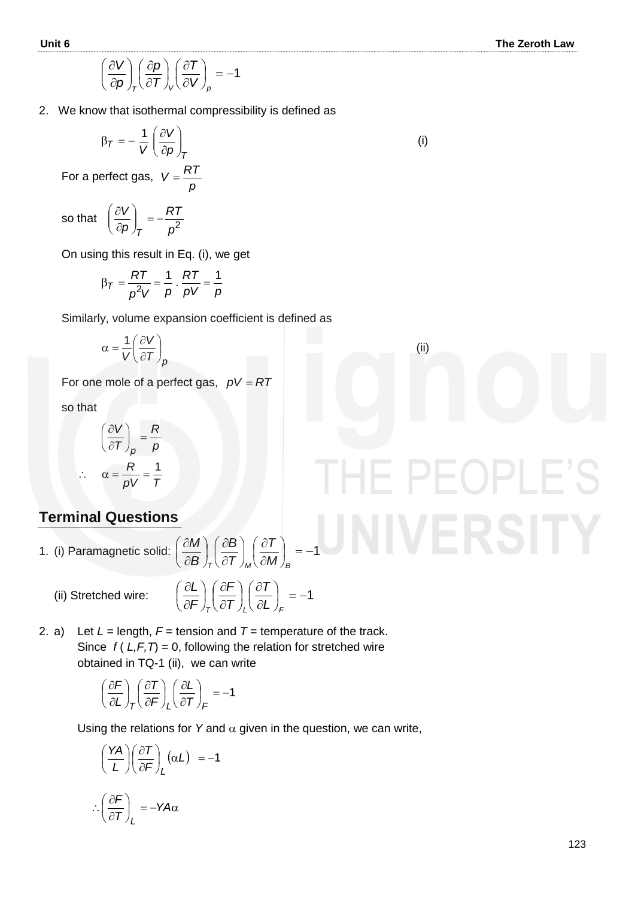ERSITY

$$
\left(\frac{\partial V}{\partial p}\right)_{T} \left(\frac{\partial p}{\partial T}\right)_{V} \left(\frac{\partial T}{\partial V}\right)_{p} = -1
$$

2. We know that isothermal compressibility is defined as

$$
\beta_T = -\frac{1}{V} \left( \frac{\partial V}{\partial \rho} \right)_T
$$

 For a perfect gas, *p*  $V = \frac{RT}{T}$ 

so that  $\left(\frac{\partial \mathbf{r}}{\partial \rho}\right)_T = -\frac{\partial \mathbf{r}}{\partial^2}$ *RT p V T*  $\Big| = \bigg)$  $\mathcal{L}$  $\overline{\phantom{a}}$  $\overline{\mathcal{L}}$ ſ  $\partial$  $\partial$ 

On using this result in Eq. (i), we get

$$
\beta_{\mathcal{T}} = \frac{RT}{p^2V} = \frac{1}{p} \cdot \frac{RT}{pV} = \frac{1}{p}
$$

Similarly, volume expansion coefficient is defined as

$$
\alpha = \frac{1}{V} \left( \frac{\partial V}{\partial T} \right)_{p}
$$

For one mole of a perfect gas,  $pV = RT$ 

so that

 $\ddot{\cdot}$ 

$$
\left(\frac{\partial V}{\partial T}\right)_p = \frac{R}{p}
$$

$$
\alpha = \frac{R}{pV} = \frac{1}{T}
$$

#### **Terminal Questions**

1. (i) Paramagnetic solid:  $\left|\frac{\partial W}{\partial \mathbf{p}}\right| \left|\frac{\partial E}{\partial \mathbf{I}}\right| = -1$ Ј  $\left(\frac{\partial T}{\partial M}\right)$  $\setminus$ ſ  $\partial$  $\widehat{o}$ J  $\bigg)$  $\left(\frac{\partial B}{\partial \tau}\right)$  $\setminus$ ſ  $\partial$  $\partial$ J  $\bigg)$  $\left(\frac{\partial M}{\partial P}\right)$  $\setminus$ ſ  $\widehat{o}$  $\partial$  $T_{\tau}$  (  $\partial T$  )<sub>M</sub> (  $\partial M$  )<sub>B</sub> *T T B B M*

> $\mathsf{I}$  $\setminus$ ſ

(ii) Stretched wire:

$$
\frac{\partial L}{\partial F}\bigg)_{T} \bigg(\frac{\partial F}{\partial T}\bigg)_{L} \bigg(\frac{\partial T}{\partial L}\bigg)_{F} = -1
$$

2. a) Let  $L =$  length,  $F =$  tension and  $T =$  temperature of the track. Since  $f(L, F, T) = 0$ , following the relation for stretched wire obtained in TQ-1 (ii), we can write

$$
\left(\frac{\partial F}{\partial L}\right)_T \left(\frac{\partial T}{\partial F}\right)_L \left(\frac{\partial L}{\partial T}\right)_F = -1
$$

Using the relations for Y and  $\alpha$  given in the question, we can write,

$$
\left(\frac{YA}{L}\right)\left(\frac{\partial T}{\partial F}\right)_L(\alpha L) = -1
$$

$$
\therefore \left(\frac{\partial F}{\partial T}\right)_L = -YA\alpha
$$

(ii)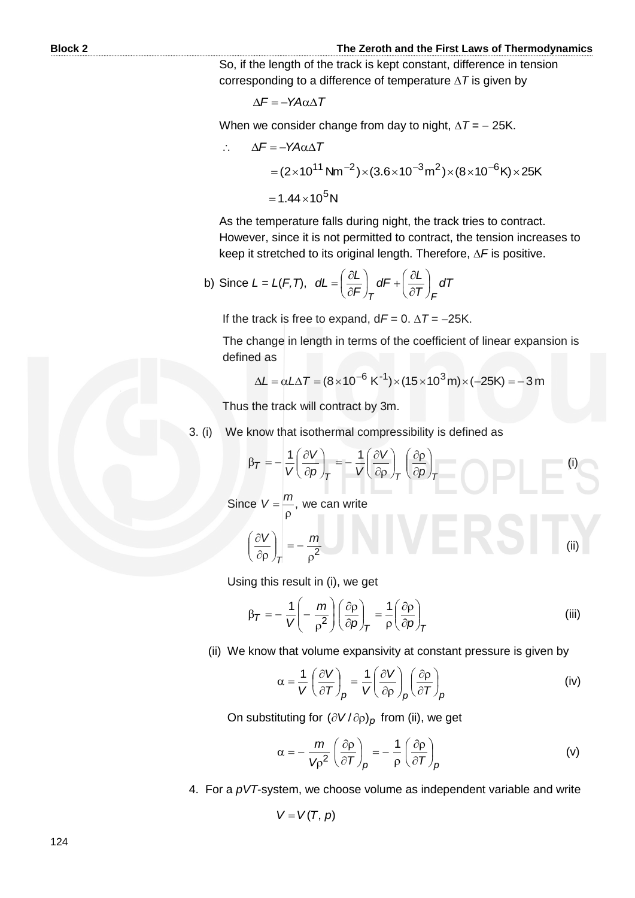So, if the length of the track is kept constant, difference in tension corresponding to a difference of temperature  $\Delta T$  is given by

$$
\Delta F = -YA\alpha\Delta T
$$

When we consider change from day to night,  $\Delta T = -25$ K.

$$
\therefore \Delta F = -YA\alpha\Delta T
$$
  
=  $(2 \times 10^{11} \text{ Nm}^{-2}) \times (3.6 \times 10^{-3} \text{ m}^2) \times (8 \times 10^{-6} \text{ K}) \times 25 \text{ K}$   
=  $1.44 \times 10^5 \text{ N}$ 

 As the temperature falls during night, the track tries to contract. However, since it is not permitted to contract, the tension increases to keep it stretched to its original length. Therefore,  $\Delta F$  is positive.

b) Since 
$$
L = L(F, T)
$$
,  $dL = \left(\frac{\partial L}{\partial F}\right)_T dF + \left(\frac{\partial L}{\partial T}\right)_F dT$ 

If the track is free to expand,  $dF = 0$ .  $\Delta T = -25K$ .

The change in length in terms of the coefficient of linear expansion is defined as

$$
\Delta L = \alpha L \Delta T = (8 \times 10^{-6} \text{ K}^{-1}) \times (15 \times 10^{3} \text{ m}) \times (-25 \text{ K}) = -3 \text{ m}
$$

Thus the track will contract by 3m.

3. (i) We know that isothermal compressibility is defined as

$$
\beta_T = -\frac{1}{V} \left( \frac{\partial V}{\partial \rho} \right)_T = -\frac{1}{V} \left( \frac{\partial V}{\partial \rho} \right)_T \left( \frac{\partial \rho}{\partial \rho} \right)_T \tag{i}
$$

Since  $V = \frac{m}{2}$ ,  $\rho$  $V = \frac{m}{r}$ , we can write

$$
\left(\frac{\partial V}{\partial \rho}\right)_T = -\frac{m}{\rho^2} \tag{ii}
$$

Using this result in (i), we get

$$
\beta_{\mathcal{T}} = -\frac{1}{V} \left( -\frac{m}{\rho^2} \right) \left( \frac{\partial \rho}{\partial \rho} \right)_{\mathcal{T}} = \frac{1}{\rho} \left( \frac{\partial \rho}{\partial \rho} \right)_{\mathcal{T}}
$$
 (iii)

(ii) We know that volume expansivity at constant pressure is given by

$$
\alpha = \frac{1}{V} \left( \frac{\partial V}{\partial T} \right)_{p} = \frac{1}{V} \left( \frac{\partial V}{\partial \rho} \right)_{p} \left( \frac{\partial \rho}{\partial T} \right)_{p}
$$
 (iv)

On substituting for  $\left(\partial V/\partial \rho\right)_{\rho}$  from (ii), we get

$$
\alpha = -\frac{m}{V\rho^2} \left(\frac{\partial \rho}{\partial T}\right)_{\rho} = -\frac{1}{\rho} \left(\frac{\partial \rho}{\partial T}\right)_{\rho}
$$
 (v)

4. For a *pVT*-system, we choose volume as independent variable and write

 $V = V(T, p)$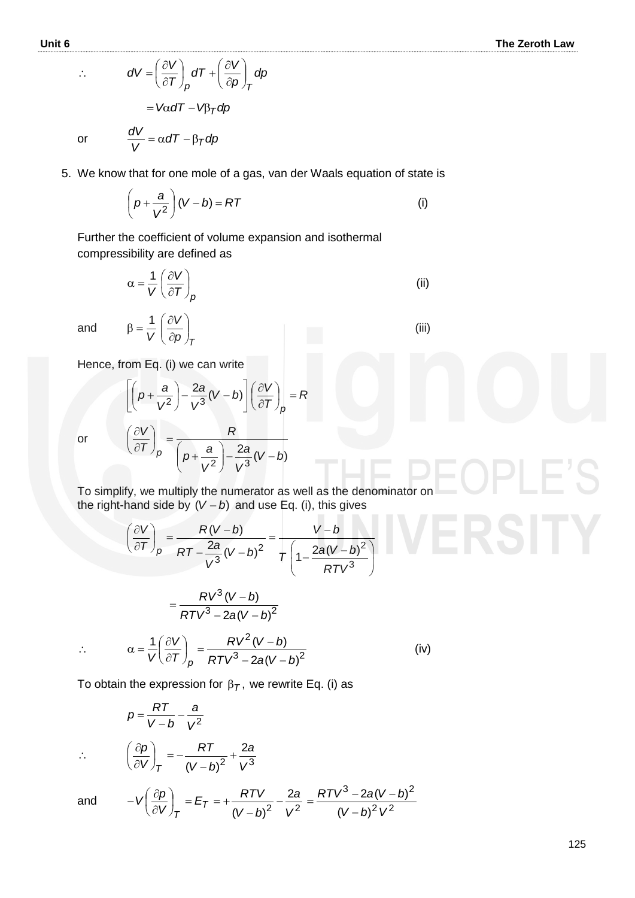RSITY

$$
\therefore \qquad dV = \left(\frac{\partial V}{\partial T}\right)_p dT + \left(\frac{\partial V}{\partial T}\right)_p dT
$$

$$
= V\alpha dT - V\beta_T dP
$$

or

*dT* –  $\beta_{\mathcal{T}}$ *dp*  $\frac{dV}{V} = \alpha dT - \beta_T$ 

 $\bigg)$  $\mathcal{L}$ 

5. We know that for one mole of a gas, van der Waals equation of state is

*dp*

*p*

 $\overline{\phantom{a}}$  $\bigg)$  $\mathcal{L}$ 

 $dT + \frac{\partial V}{\partial x}$ 

 $\int dT + \frac{\partial}{\partial}$ 

*p*  $($   $\langle$   $\nu p$   $\rangle$   $7$ 

 $\overline{\phantom{a}}$  $\overline{\mathcal{L}}$ ſ  $\partial$ 

$$
\left(p + \frac{a}{V^2}\right)(V - b) = RT
$$
 (i)

 Further the coefficient of volume expansion and isothermal compressibility are defined as

$$
\alpha = \frac{1}{V} \left( \frac{\partial V}{\partial T} \right)_{p}
$$
 (ii)

(iii)

(iv)

and

Hence, from Eq. (i) we can write

 $\overline{\phantom{a}}$  $\setminus$ ſ  $\widehat{o}$ 

 $\beta = \frac{1}{\nu} \left( \frac{\partial}{\partial \nu} \right)$ 

*T p V*  $\frac{1}{V}$  $\left(\frac{\partial V}{\partial p}\right)$ J  $\mathcal{L}$ 

$$
\left[ \left( p + \frac{a}{V^2} \right) - \frac{2a}{V^3} (V - b) \right] \left( \frac{\partial V}{\partial T} \right)_p = R
$$
\nor

\n
$$
\left( \frac{\partial V}{\partial T} \right)_p = \frac{R}{\left( p + \frac{a}{V^2} \right) - \frac{2a}{V^3} (V - b)}
$$

or

 To simplify, we multiply the numerator as well as the denominator on the right-hand side by  $(V - b)$  and use Eq. (i), this gives

$$
\left(\frac{\partial V}{\partial T}\right)_p = \frac{R(V-b)}{RT - \frac{2a}{V^3}(V-b)^2} = \frac{V-b}{T\left(1 - \frac{2a(V-b)^2}{RTV^3}\right)}
$$

2

*RV*<sup>2</sup> (*V – b* 

 $3 - 29(11 - h)^2$ 

2  $\frac{2}{2}$ 

 $(V-b)$ 

÷,

(*V – b*)<sup>2</sup> V

 $2a(V-b)$ 

 $(V-b)^2$  V

*bV*

 $\overline{\phantom{a}}$ 

$$
=\frac{RV^3(V-b)}{RTV^3-2a(V-b)^2}
$$

 $1\left(\partial V\right)$   $RV^{2}(V-b)$ 

*V*

 $\left(\frac{\partial V}{\partial \bm{\tau}}\right)$ 

ſ

*V*

 $\widehat{o}$ 

 $\setminus$ 

*T*

J

 $\alpha = \frac{1}{\sqrt{2}} \left( \frac{\partial}{\partial \theta} \right)$ 

 $\ddot{\cdot}$ 

$$
V(\partial T)_p RTV^3 - 2a(V - b)^2
$$
  
To obtain the expression for  $\beta_T$ , we rewrite Eq. (i) as

 $\Bigg) = \frac{RV^2(V-)}{1 - r^2}$ 

$$
p = \frac{RT}{V - b} - \frac{a}{V^2}
$$
  

$$
\left(\frac{\partial p}{\partial V}\right)_T = -\frac{RT}{(V - b)^2} + \frac{2a}{V^3}
$$
  
d 
$$
-V\left(\frac{\partial p}{\partial V}\right)_T = E_T = +\frac{RTV}{(V - b)^2} - \frac{2a}{V^2} = \frac{RTV^3 - 2a(V - b)^2}{(V - b)^2 V^2}
$$

and

 $\therefore$